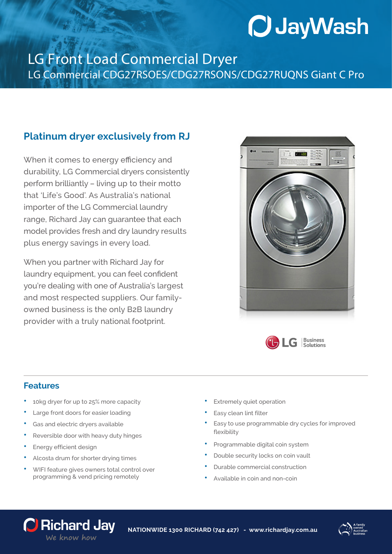# **O JayWash**

### LG Front Load Commercial Dryer LG Commercial CDG27RSOES/CDG27RSONS/CDG27RUQNS Giant C Pro

#### **Platinum dryer exclusively from RJ**

When it comes to energy efficiency and durability, LG Commercial dryers consistently perform brilliantly – living up to their motto that 'Life's Good'. As Australia's national importer of the LG Commercial laundry range, Richard Jay can guarantee that each model provides fresh and dry laundry results plus energy savings in every load.

When you partner with Richard Jay for laundry equipment, you can feel confident you're dealing with one of Australia's largest and most respected suppliers. Our familyowned business is the only B2B laundry provider with a truly national footprint.





#### **Features**

- **•** 10kg dryer for up to 25% more capacity
- **•** Large front doors for easier loading
- **•** Gas and electric dryers available
- **•** Reversible door with heavy duty hinges
- **•** Energy efficient design
- **•** Alcosta drum for shorter drying times
- **•** WIFI feature gives owners total control over programming & vend pricing remotely
- **•** Extremely quiet operation
- **•** Easy clean lint filter
- **•** Easy to use programmable dry cycles for improved flexibility
- **•** Programmable digital coin system
- **•** Double security locks on coin vault
- **•** Durable commercial construction
- **•** Available in coin and non-coin